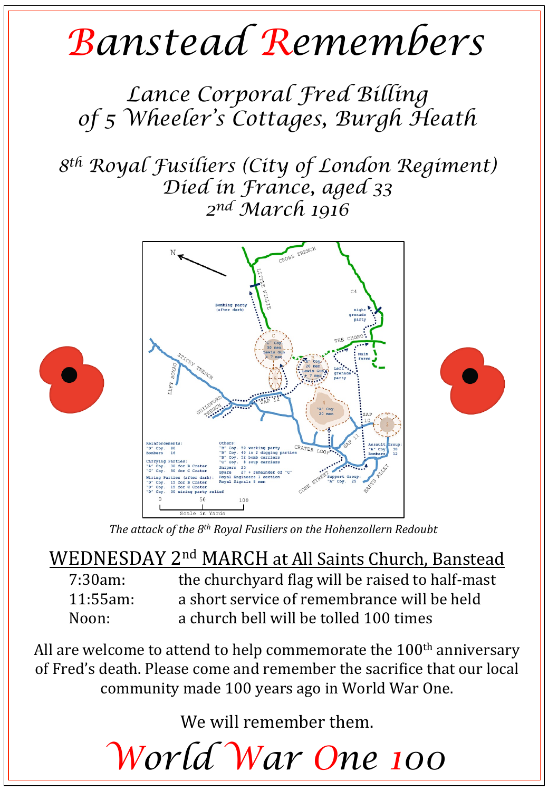## *Banstead Remembers*

*Lance Corporal Fred Billing of 5 Wheeler's Cottages, Burgh Heath* 

*8th Royal Fusiliers (City of London Regiment) Died in France, aged 33 2nd March 1916* 



The attack of the 8<sup>th</sup> Royal Fusiliers on the Hohenzollern Redoubt

WEDNESDAY 2<sup>nd</sup> MARCH at All Saints Church, Banstead 7:30am: the churchyard flag will be raised to half-mast 11:55am: a short service of remembrance will be held Noon: a church bell will be tolled 100 times

All are welcome to attend to help commemorate the  $100<sup>th</sup>$  anniversary of Fred's death. Please come and remember the sacrifice that our local community made 100 years ago in World War One.

We will remember them.

*World War One 100*